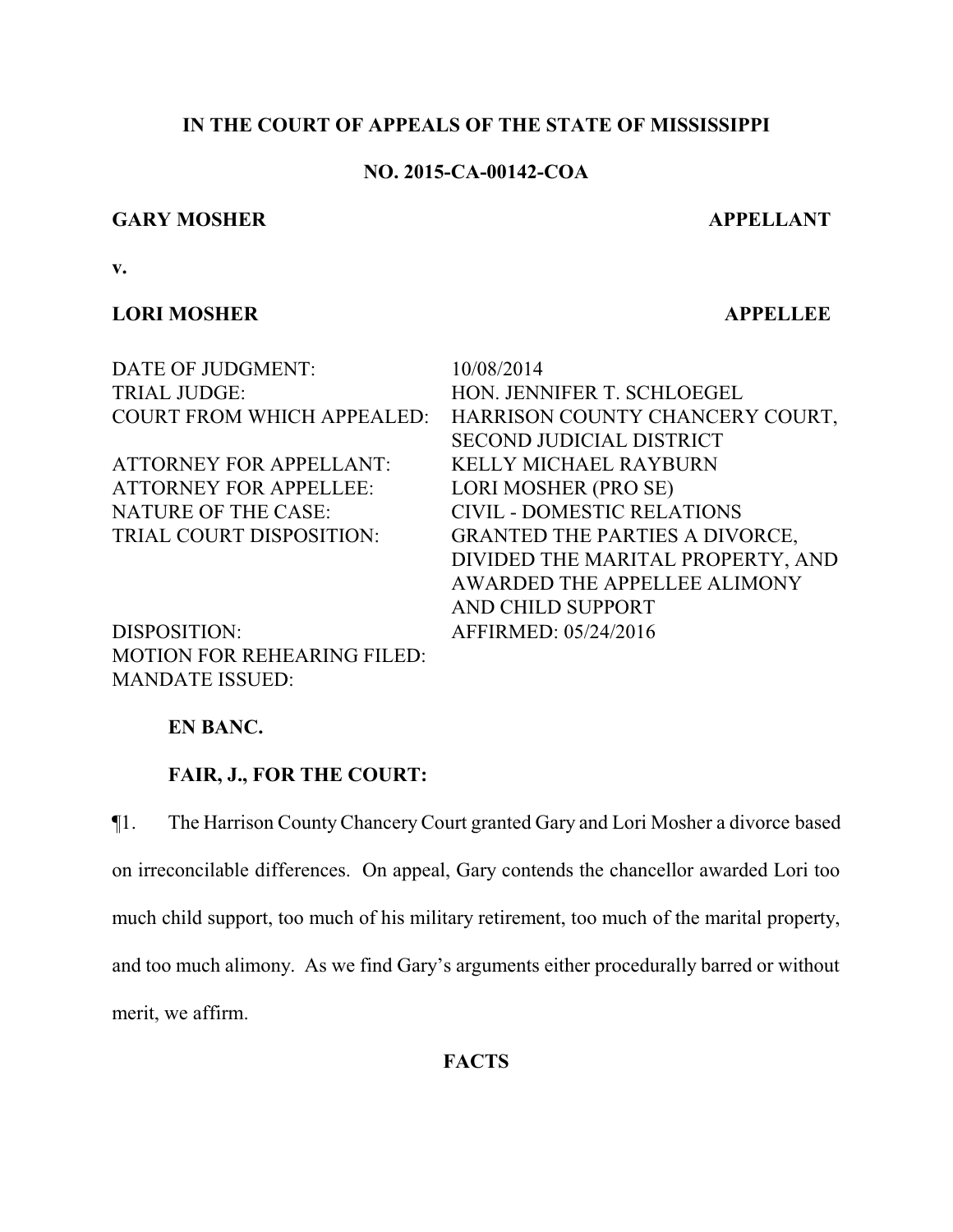# **IN THE COURT OF APPEALS OF THE STATE OF MISSISSIPPI**

## **NO. 2015-CA-00142-COA**

## **GARY MOSHER APPELLANT**

**v.**

## **LORI MOSHER APPELLEE**

| 10/08/2014                                                           |
|----------------------------------------------------------------------|
| HON. JENNIFER T. SCHLOEGEL                                           |
| <b>COURT FROM WHICH APPEALED:</b><br>HARRISON COUNTY CHANCERY COURT, |
| <b>SECOND JUDICIAL DISTRICT</b>                                      |
| <b>KELLY MICHAEL RAYBURN</b>                                         |
| LORI MOSHER (PRO SE)                                                 |
| <b>CIVIL - DOMESTIC RELATIONS</b>                                    |
| <b>GRANTED THE PARTIES A DIVORCE,</b>                                |
| DIVIDED THE MARITAL PROPERTY, AND                                    |
| AWARDED THE APPELLEE ALIMONY                                         |
| AND CHILD SUPPORT                                                    |
| AFFIRMED: 05/24/2016                                                 |
|                                                                      |

MOTION FOR REHEARING FILED: MANDATE ISSUED:

**EN BANC.**

# **FAIR, J., FOR THE COURT:**

¶1. The Harrison CountyChancery Court granted Gary and Lori Mosher a divorce based on irreconcilable differences. On appeal, Gary contends the chancellor awarded Lori too much child support, too much of his military retirement, too much of the marital property, and too much alimony. As we find Gary's arguments either procedurally barred or without merit, we affirm.

**FACTS**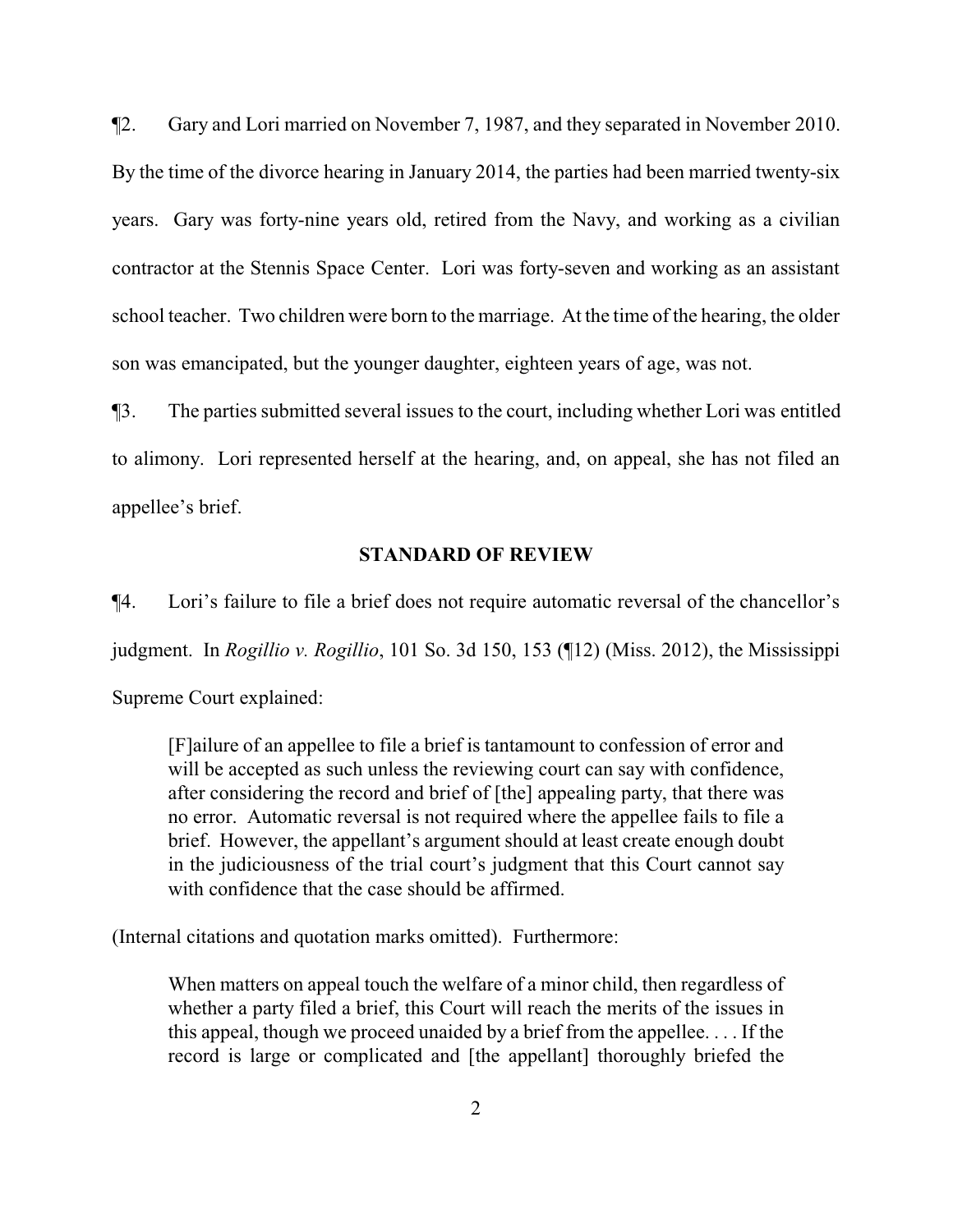¶2. Gary and Lori married on November 7, 1987, and they separated in November 2010. By the time of the divorce hearing in January 2014, the parties had been married twenty-six years. Gary was forty-nine years old, retired from the Navy, and working as a civilian contractor at the Stennis Space Center. Lori was forty-seven and working as an assistant school teacher. Two children were born to the marriage. At the time of the hearing, the older son was emancipated, but the younger daughter, eighteen years of age, was not.

¶3. The parties submitted several issues to the court, including whether Lori was entitled to alimony. Lori represented herself at the hearing, and, on appeal, she has not filed an appellee's brief.

#### **STANDARD OF REVIEW**

¶4. Lori's failure to file a brief does not require automatic reversal of the chancellor's judgment. In *Rogillio v. Rogillio*, 101 So. 3d 150, 153 (¶12) (Miss. 2012), the Mississippi

Supreme Court explained:

[F]ailure of an appellee to file a brief is tantamount to confession of error and will be accepted as such unless the reviewing court can say with confidence, after considering the record and brief of [the] appealing party, that there was no error. Automatic reversal is not required where the appellee fails to file a brief. However, the appellant's argument should at least create enough doubt in the judiciousness of the trial court's judgment that this Court cannot say with confidence that the case should be affirmed.

(Internal citations and quotation marks omitted). Furthermore:

When matters on appeal touch the welfare of a minor child, then regardless of whether a party filed a brief, this Court will reach the merits of the issues in this appeal, though we proceed unaided by a brief from the appellee. . . . If the record is large or complicated and [the appellant] thoroughly briefed the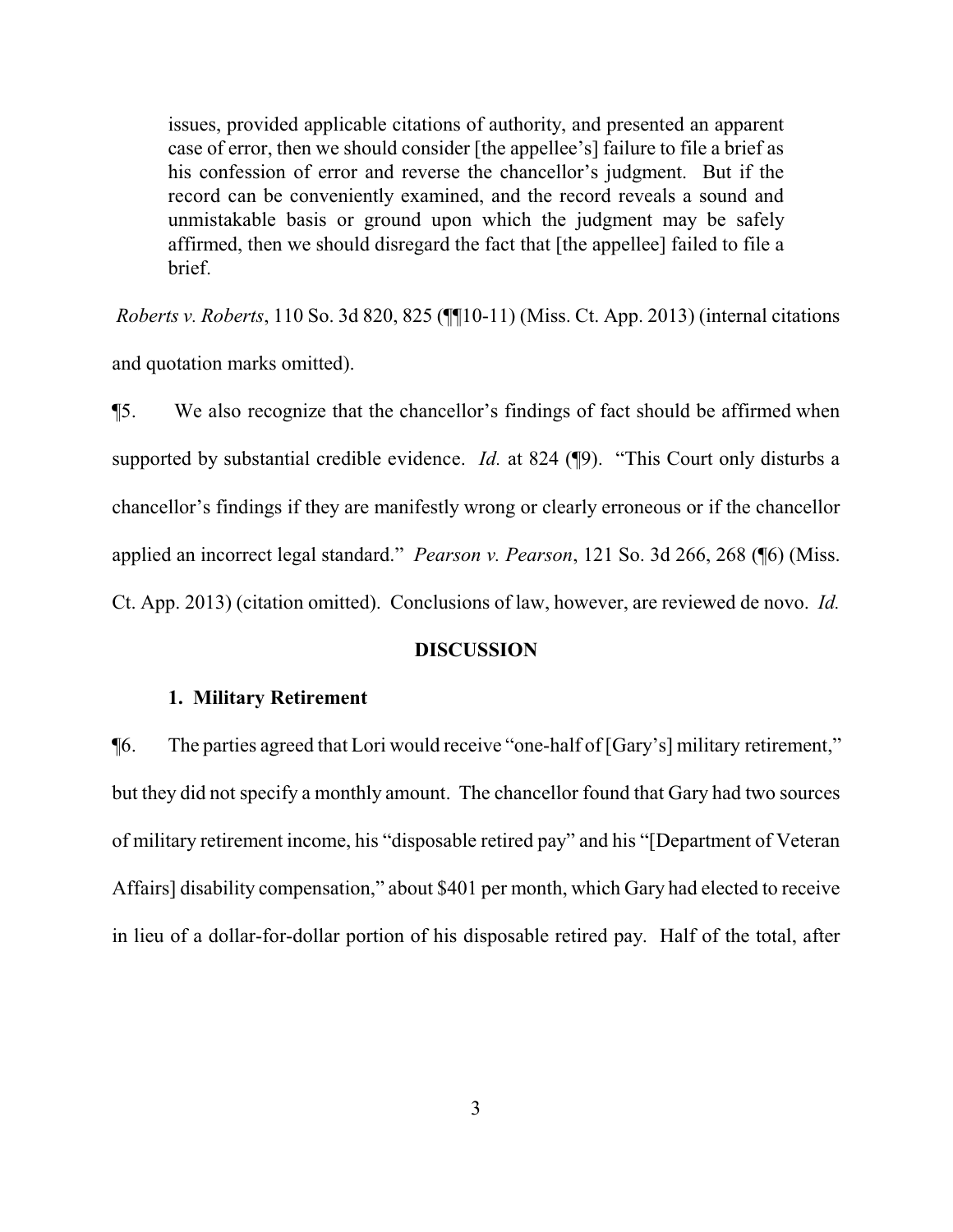issues, provided applicable citations of authority, and presented an apparent case of error, then we should consider [the appellee's] failure to file a brief as his confession of error and reverse the chancellor's judgment. But if the record can be conveniently examined, and the record reveals a sound and unmistakable basis or ground upon which the judgment may be safely affirmed, then we should disregard the fact that [the appellee] failed to file a brief.

*Roberts v. Roberts*, 110 So. 3d 820, 825 (¶¶10-11) (Miss. Ct. App. 2013) (internal citations and quotation marks omitted).

¶5. We also recognize that the chancellor's findings of fact should be affirmed when supported by substantial credible evidence. *Id.* at 824 (¶9). "This Court only disturbs a chancellor's findings if they are manifestly wrong or clearly erroneous or if the chancellor applied an incorrect legal standard." *Pearson v. Pearson*, 121 So. 3d 266, 268 (¶6) (Miss. Ct. App. 2013) (citation omitted). Conclusions of law, however, are reviewed de novo. *Id.*

### **DISCUSSION**

#### **1. Military Retirement**

¶6. The parties agreed that Lori would receive "one-half of [Gary's] military retirement," but they did not specify a monthly amount. The chancellor found that Gary had two sources of military retirement income, his "disposable retired pay" and his "[Department of Veteran Affairs] disability compensation," about \$401 per month, which Gary had elected to receive in lieu of a dollar-for-dollar portion of his disposable retired pay. Half of the total, after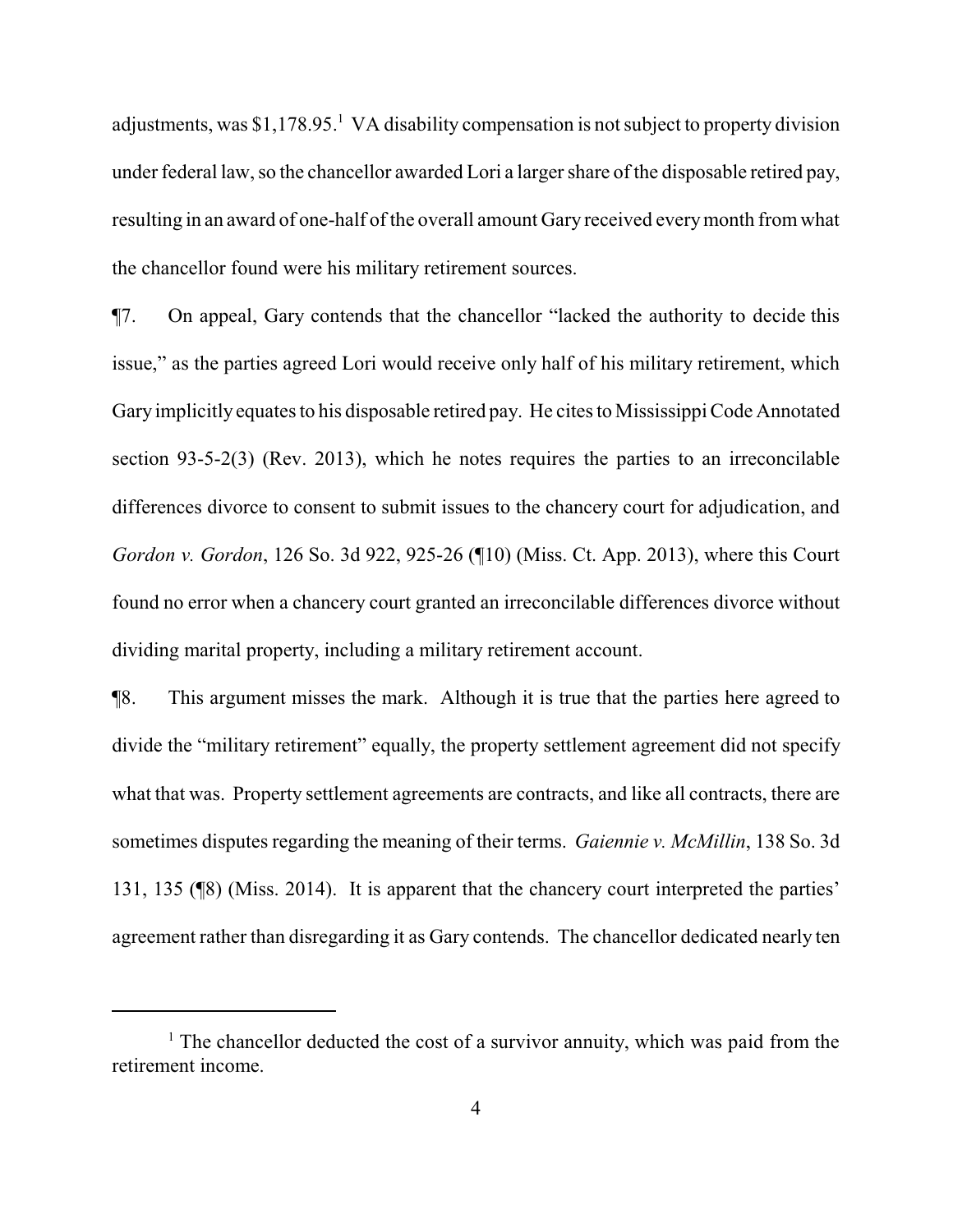adjustments, was  $$1,178.95<sup>1</sup>$  VA disability compensation is not subject to property division under federal law, so the chancellor awarded Lori a larger share of the disposable retired pay, resulting in an award of one-half of the overall amount Gary received everymonth fromwhat the chancellor found were his military retirement sources.

¶7. On appeal, Gary contends that the chancellor "lacked the authority to decide this issue," as the parties agreed Lori would receive only half of his military retirement, which Gary implicitly equates to his disposable retired pay. He cites to Mississippi Code Annotated section 93-5-2(3) (Rev. 2013), which he notes requires the parties to an irreconcilable differences divorce to consent to submit issues to the chancery court for adjudication, and *Gordon v. Gordon*, 126 So. 3d 922, 925-26 (¶10) (Miss. Ct. App. 2013), where this Court found no error when a chancery court granted an irreconcilable differences divorce without dividing marital property, including a military retirement account.

¶8. This argument misses the mark. Although it is true that the parties here agreed to divide the "military retirement" equally, the property settlement agreement did not specify what that was. Property settlement agreements are contracts, and like all contracts, there are sometimes disputes regarding the meaning of their terms. *Gaiennie v. McMillin*, 138 So. 3d 131, 135 (¶8) (Miss. 2014). It is apparent that the chancery court interpreted the parties' agreement rather than disregarding it as Gary contends. The chancellor dedicated nearly ten

<sup>&</sup>lt;sup>1</sup> The chancellor deducted the cost of a survivor annuity, which was paid from the retirement income.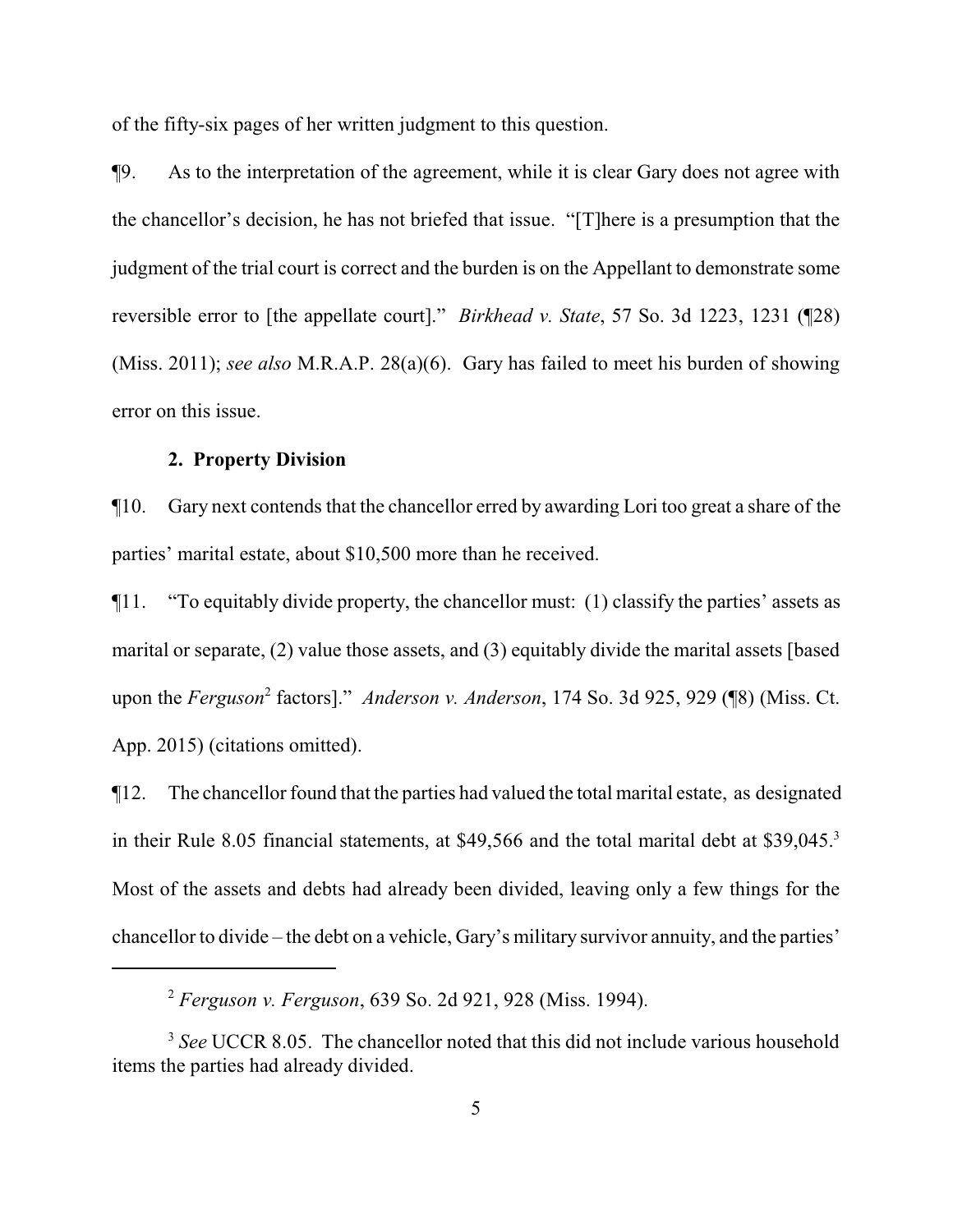of the fifty-six pages of her written judgment to this question.

¶9. As to the interpretation of the agreement, while it is clear Gary does not agree with the chancellor's decision, he has not briefed that issue. "[T]here is a presumption that the judgment of the trial court is correct and the burden is on the Appellant to demonstrate some reversible error to [the appellate court]." *Birkhead v. State*, 57 So. 3d 1223, 1231 (¶28) (Miss. 2011); *see also* M.R.A.P. 28(a)(6). Gary has failed to meet his burden of showing error on this issue.

## **2. Property Division**

¶10. Gary next contends that the chancellor erred by awarding Lori too great a share of the parties' marital estate, about \$10,500 more than he received.

¶11. "To equitably divide property, the chancellor must: (1) classify the parties' assets as marital or separate, (2) value those assets, and (3) equitably divide the marital assets [based upon the *Ferguson*<sup>2</sup> factors]." *Anderson v. Anderson*, 174 So. 3d 925, 929 (¶8) (Miss. Ct. App. 2015) (citations omitted).

¶12. The chancellor found that the parties had valued the total marital estate, as designated in their Rule 8.05 financial statements, at \$49,566 and the total marital debt at \$39,045.<sup>3</sup> Most of the assets and debts had already been divided, leaving only a few things for the chancellor to divide – the debt on a vehicle, Gary's military survivor annuity, and the parties'

<sup>2</sup> *Ferguson v. Ferguson*, 639 So. 2d 921, 928 (Miss. 1994).

<sup>&</sup>lt;sup>3</sup> See UCCR 8.05. The chancellor noted that this did not include various household items the parties had already divided.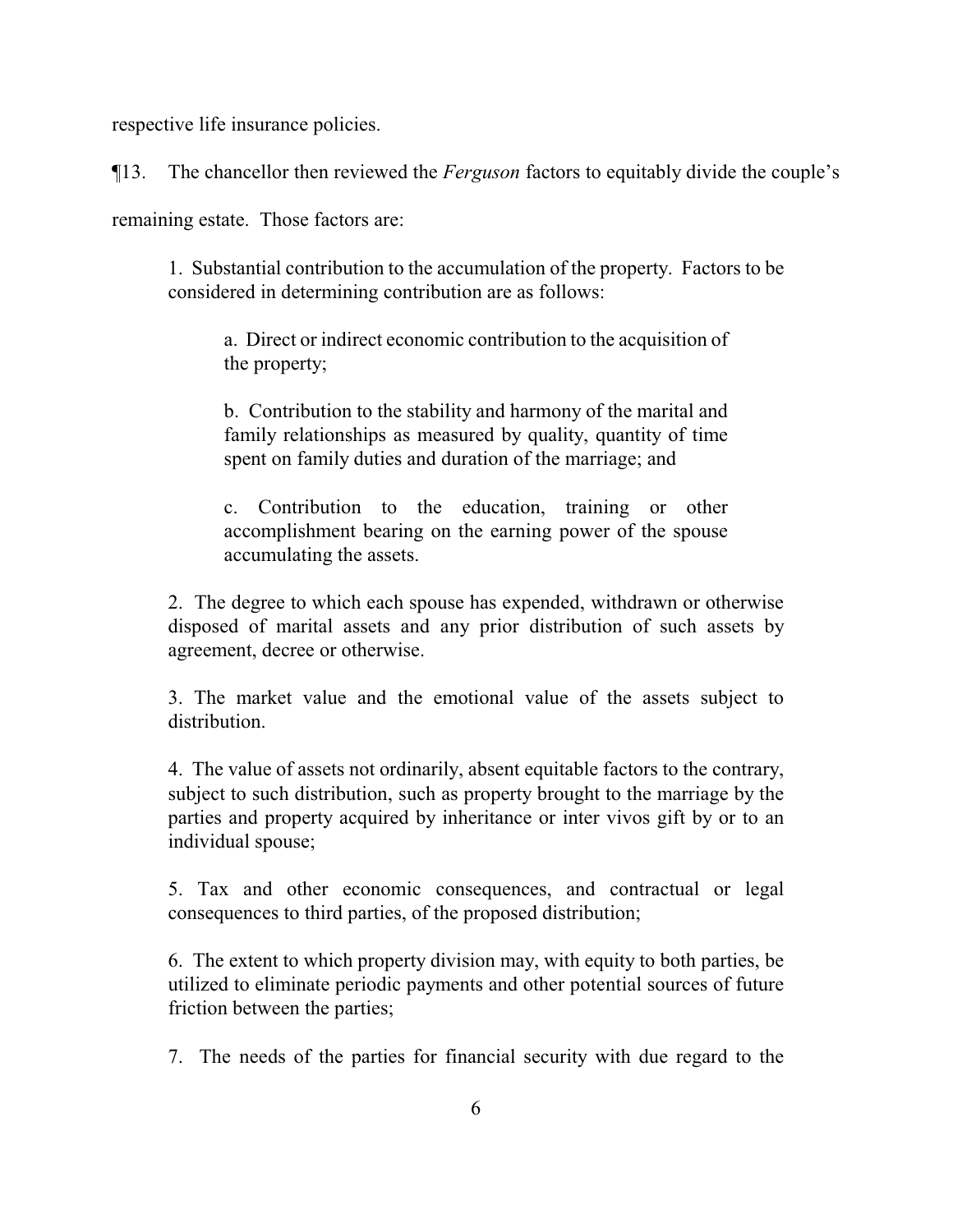respective life insurance policies.

¶13. The chancellor then reviewed the *Ferguson* factors to equitably divide the couple's

remaining estate. Those factors are:

1. Substantial contribution to the accumulation of the property. Factors to be considered in determining contribution are as follows:

a. Direct or indirect economic contribution to the acquisition of the property;

b. Contribution to the stability and harmony of the marital and family relationships as measured by quality, quantity of time spent on family duties and duration of the marriage; and

c. Contribution to the education, training or other accomplishment bearing on the earning power of the spouse accumulating the assets.

2. The degree to which each spouse has expended, withdrawn or otherwise disposed of marital assets and any prior distribution of such assets by agreement, decree or otherwise.

3. The market value and the emotional value of the assets subject to distribution.

4. The value of assets not ordinarily, absent equitable factors to the contrary, subject to such distribution, such as property brought to the marriage by the parties and property acquired by inheritance or inter vivos gift by or to an individual spouse;

5. Tax and other economic consequences, and contractual or legal consequences to third parties, of the proposed distribution;

6. The extent to which property division may, with equity to both parties, be utilized to eliminate periodic payments and other potential sources of future friction between the parties;

7. The needs of the parties for financial security with due regard to the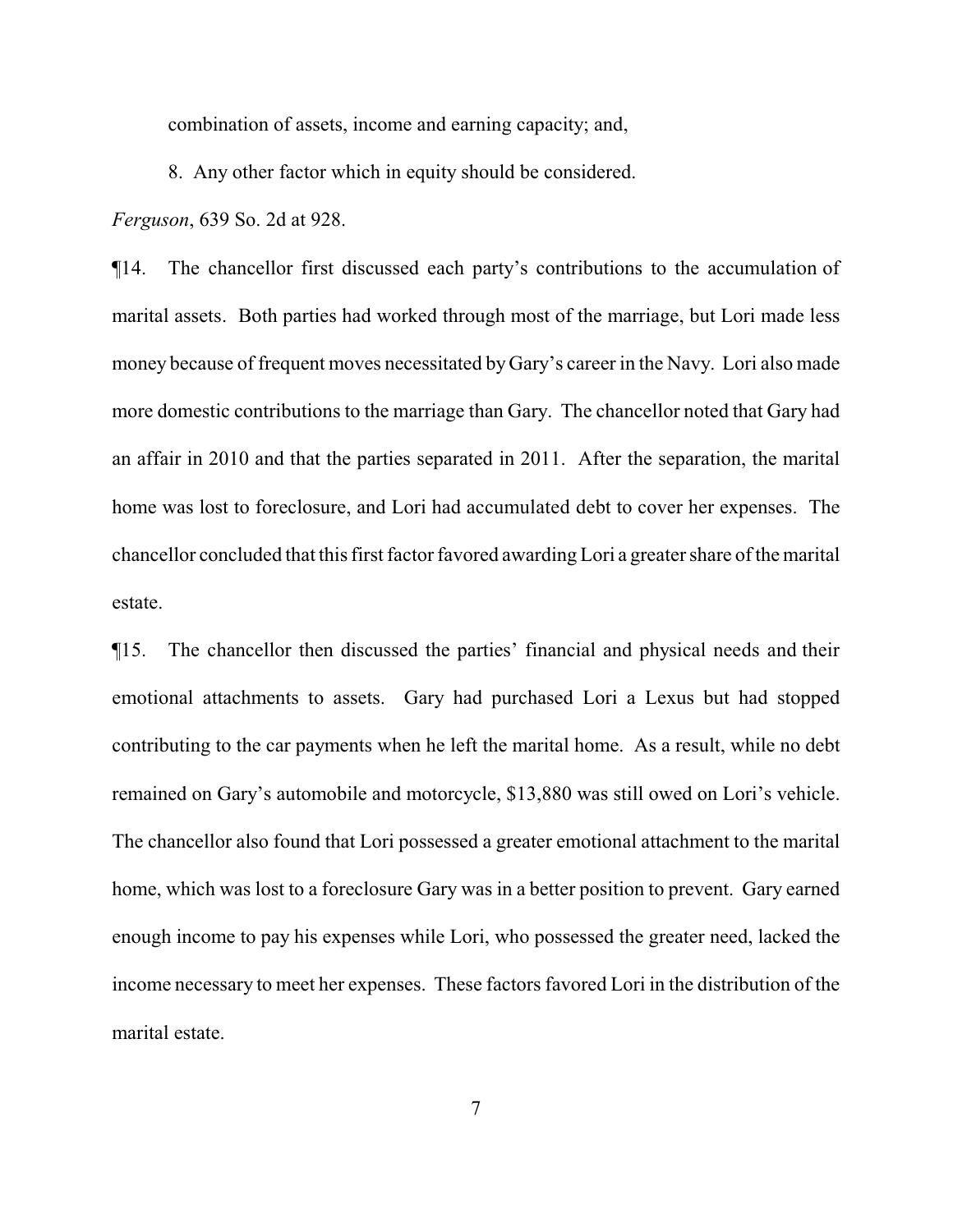combination of assets, income and earning capacity; and,

8. Any other factor which in equity should be considered.

*Ferguson*, 639 So. 2d at 928.

¶14. The chancellor first discussed each party's contributions to the accumulation of marital assets. Both parties had worked through most of the marriage, but Lori made less money because of frequent moves necessitated by Gary's career in the Navy. Lori also made more domestic contributions to the marriage than Gary. The chancellor noted that Gary had an affair in 2010 and that the parties separated in 2011. After the separation, the marital home was lost to foreclosure, and Lori had accumulated debt to cover her expenses. The chancellor concluded that this first factor favored awarding Lori a greater share of the marital estate.

¶15. The chancellor then discussed the parties' financial and physical needs and their emotional attachments to assets. Gary had purchased Lori a Lexus but had stopped contributing to the car payments when he left the marital home. As a result, while no debt remained on Gary's automobile and motorcycle, \$13,880 was still owed on Lori's vehicle. The chancellor also found that Lori possessed a greater emotional attachment to the marital home, which was lost to a foreclosure Gary was in a better position to prevent. Gary earned enough income to pay his expenses while Lori, who possessed the greater need, lacked the income necessary to meet her expenses. These factors favored Lori in the distribution of the marital estate.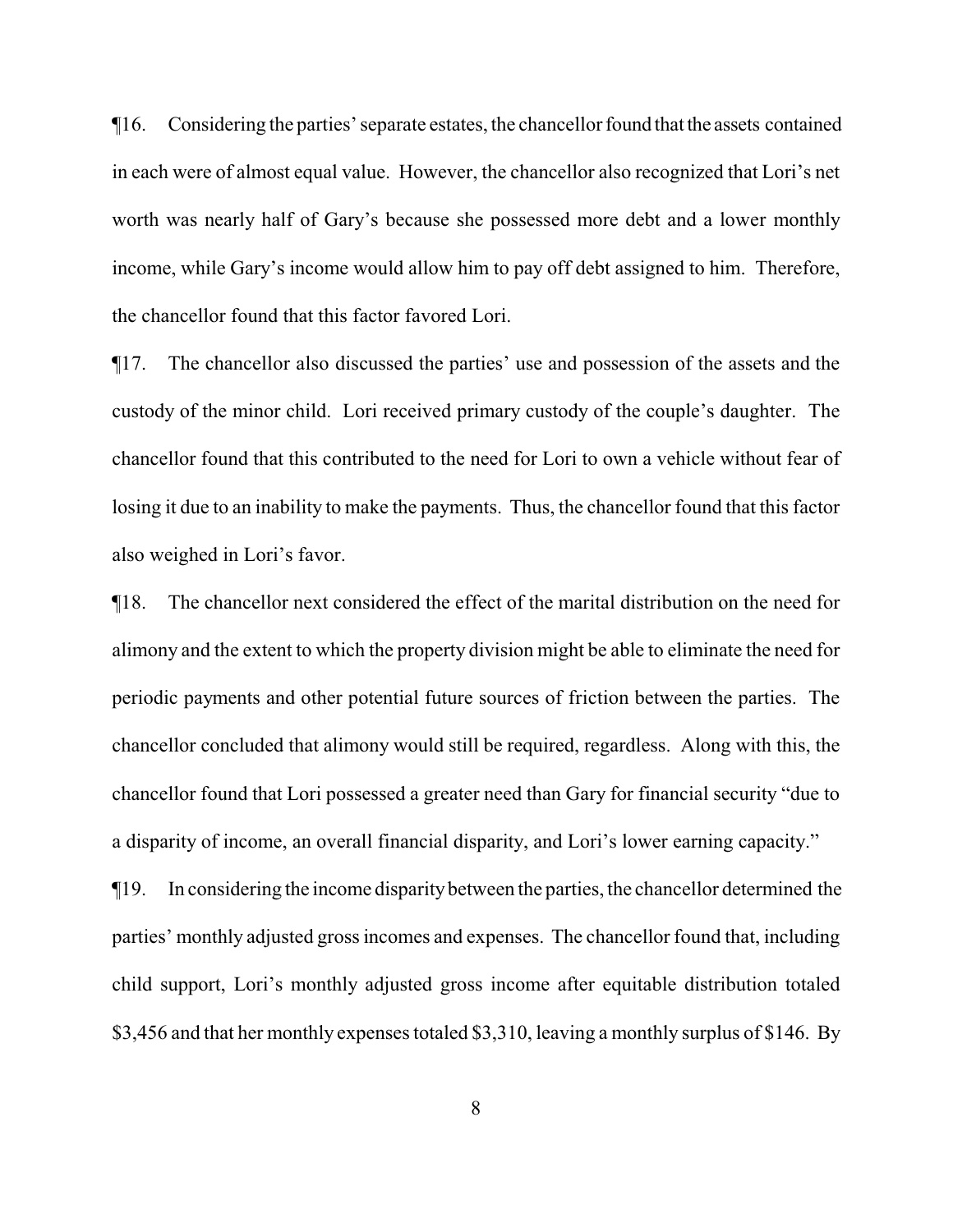$\P$ 16. Considering the parties' separate estates, the chancellor found that the assets contained in each were of almost equal value. However, the chancellor also recognized that Lori's net worth was nearly half of Gary's because she possessed more debt and a lower monthly income, while Gary's income would allow him to pay off debt assigned to him. Therefore, the chancellor found that this factor favored Lori.

¶17. The chancellor also discussed the parties' use and possession of the assets and the custody of the minor child. Lori received primary custody of the couple's daughter. The chancellor found that this contributed to the need for Lori to own a vehicle without fear of losing it due to an inability to make the payments. Thus, the chancellor found that this factor also weighed in Lori's favor.

¶18. The chancellor next considered the effect of the marital distribution on the need for alimony and the extent to which the property division might be able to eliminate the need for periodic payments and other potential future sources of friction between the parties. The chancellor concluded that alimony would still be required, regardless. Along with this, the chancellor found that Lori possessed a greater need than Gary for financial security "due to a disparity of income, an overall financial disparity, and Lori's lower earning capacity."

¶19. In considering the income disparitybetween the parties, the chancellor determined the parties' monthly adjusted gross incomes and expenses. The chancellor found that, including child support, Lori's monthly adjusted gross income after equitable distribution totaled \$3,456 and that her monthly expenses totaled \$3,310, leaving a monthly surplus of \$146. By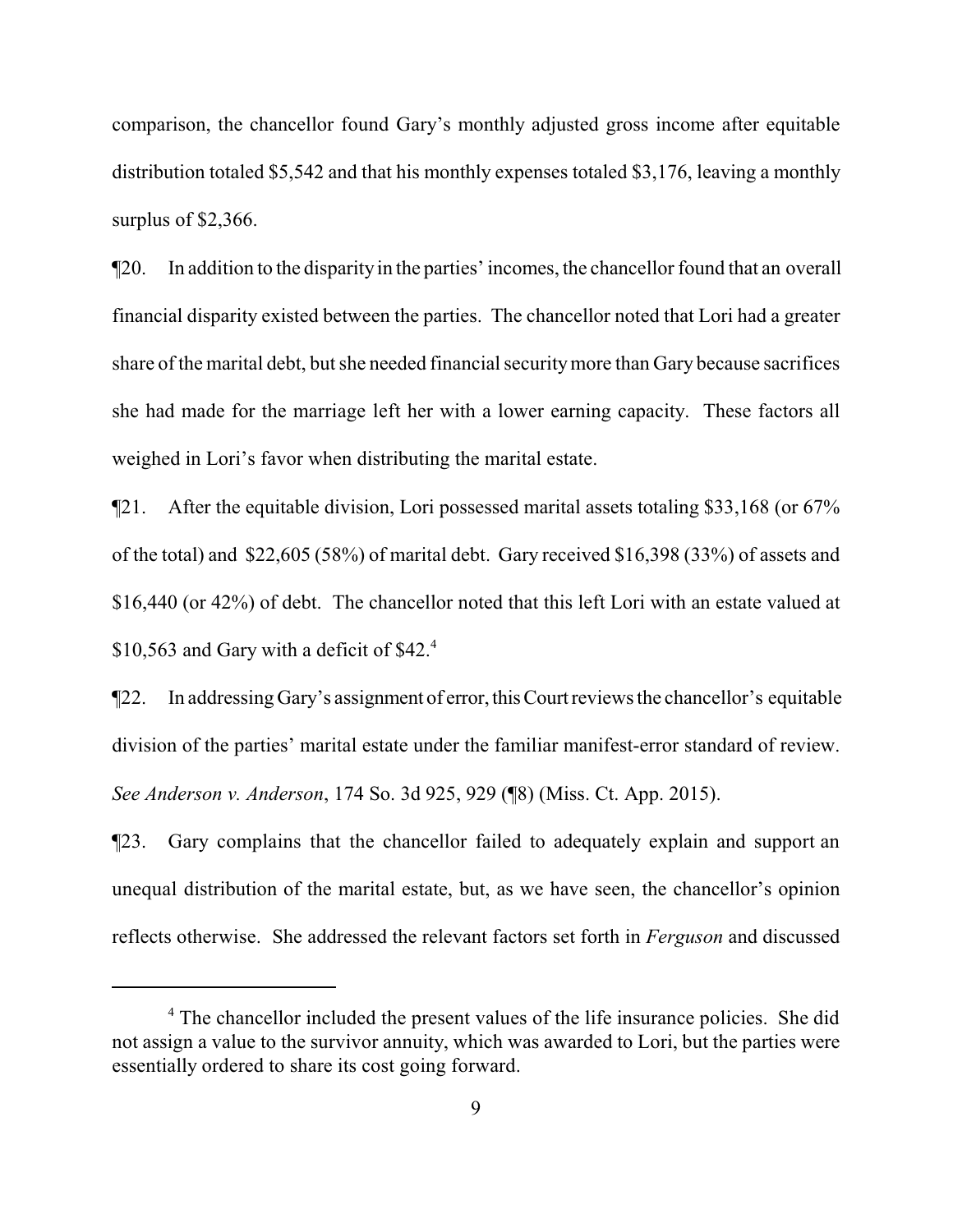comparison, the chancellor found Gary's monthly adjusted gross income after equitable distribution totaled \$5,542 and that his monthly expenses totaled \$3,176, leaving a monthly surplus of \$2,366.

¶20. In addition to the disparity in the parties' incomes, the chancellor found that an overall financial disparity existed between the parties. The chancellor noted that Lori had a greater share of the marital debt, but she needed financial securitymore than Gary because sacrifices she had made for the marriage left her with a lower earning capacity. These factors all weighed in Lori's favor when distributing the marital estate.

¶21. After the equitable division, Lori possessed marital assets totaling \$33,168 (or 67% of the total) and \$22,605 (58%) of marital debt. Gary received \$16,398 (33%) of assets and \$16,440 (or 42%) of debt. The chancellor noted that this left Lori with an estate valued at \$10,563 and Gary with a deficit of  $$42<sup>4</sup>$ .

¶22. In addressing Gary's assignment of error,thisCourtreviews the chancellor's equitable division of the parties' marital estate under the familiar manifest-error standard of review. *See Anderson v. Anderson*, 174 So. 3d 925, 929 (¶8) (Miss. Ct. App. 2015).

¶23. Gary complains that the chancellor failed to adequately explain and support an unequal distribution of the marital estate, but, as we have seen, the chancellor's opinion reflects otherwise. She addressed the relevant factors set forth in *Ferguson* and discussed

<sup>&</sup>lt;sup>4</sup> The chancellor included the present values of the life insurance policies. She did not assign a value to the survivor annuity, which was awarded to Lori, but the parties were essentially ordered to share its cost going forward.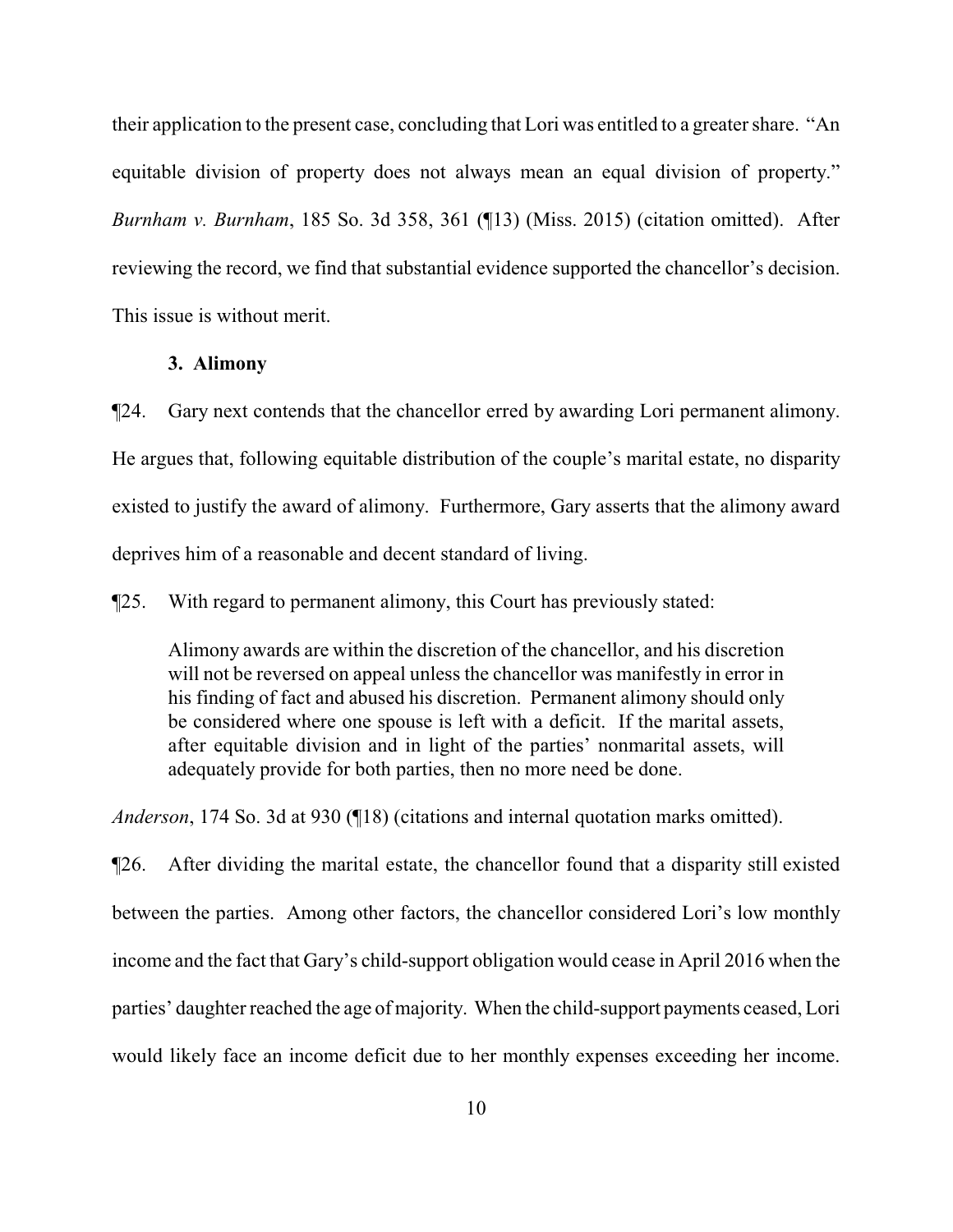their application to the present case, concluding that Lori was entitled to a greater share. "An equitable division of property does not always mean an equal division of property." *Burnham v. Burnham*, 185 So. 3d 358, 361 (¶13) (Miss. 2015) (citation omitted). After reviewing the record, we find that substantial evidence supported the chancellor's decision. This issue is without merit.

## **3. Alimony**

¶24. Gary next contends that the chancellor erred by awarding Lori permanent alimony. He argues that, following equitable distribution of the couple's marital estate, no disparity existed to justify the award of alimony. Furthermore, Gary asserts that the alimony award deprives him of a reasonable and decent standard of living.

¶25. With regard to permanent alimony, this Court has previously stated:

Alimony awards are within the discretion of the chancellor, and his discretion will not be reversed on appeal unless the chancellor was manifestly in error in his finding of fact and abused his discretion. Permanent alimony should only be considered where one spouse is left with a deficit. If the marital assets, after equitable division and in light of the parties' nonmarital assets, will adequately provide for both parties, then no more need be done.

*Anderson*, 174 So. 3d at 930 (¶18) (citations and internal quotation marks omitted).

¶26. After dividing the marital estate, the chancellor found that a disparity still existed between the parties. Among other factors, the chancellor considered Lori's low monthly income and the fact that Gary's child-support obligation would cease in April 2016 when the parties' daughter reached the age of majority. When the child-support payments ceased, Lori would likely face an income deficit due to her monthly expenses exceeding her income.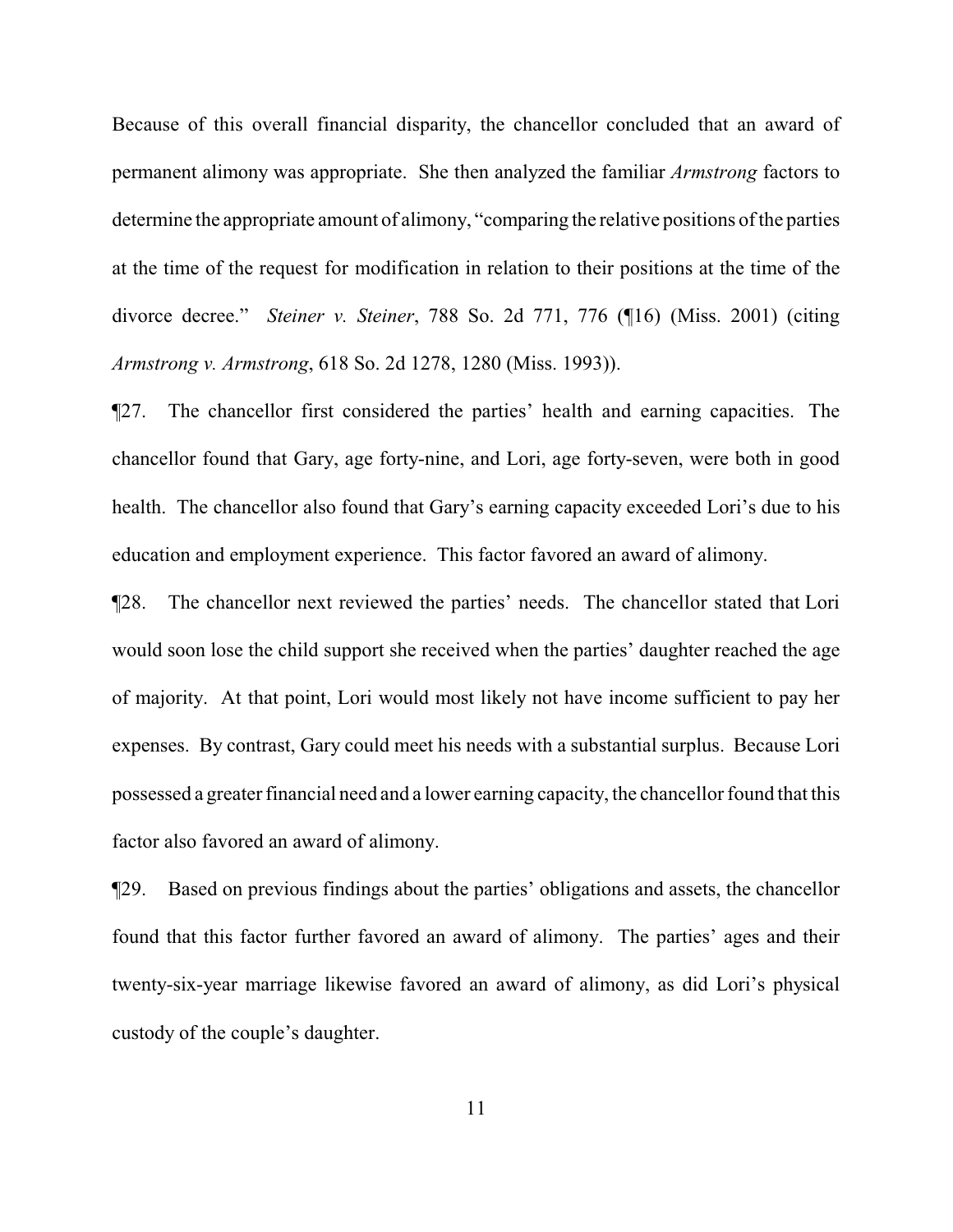Because of this overall financial disparity, the chancellor concluded that an award of permanent alimony was appropriate. She then analyzed the familiar *Armstrong* factors to determine the appropriate amount of alimony, "comparing the relative positions of the parties at the time of the request for modification in relation to their positions at the time of the divorce decree." *Steiner v. Steiner*, 788 So. 2d 771, 776 (¶16) (Miss. 2001) (citing *Armstrong v. Armstrong*, 618 So. 2d 1278, 1280 (Miss. 1993)).

¶27. The chancellor first considered the parties' health and earning capacities. The chancellor found that Gary, age forty-nine, and Lori, age forty-seven, were both in good health. The chancellor also found that Gary's earning capacity exceeded Lori's due to his education and employment experience. This factor favored an award of alimony.

¶28. The chancellor next reviewed the parties' needs. The chancellor stated that Lori would soon lose the child support she received when the parties' daughter reached the age of majority. At that point, Lori would most likely not have income sufficient to pay her expenses. By contrast, Gary could meet his needs with a substantial surplus. Because Lori possessed a greater financial need and a lower earning capacity, the chancellor found that this factor also favored an award of alimony.

¶29. Based on previous findings about the parties' obligations and assets, the chancellor found that this factor further favored an award of alimony. The parties' ages and their twenty-six-year marriage likewise favored an award of alimony, as did Lori's physical custody of the couple's daughter.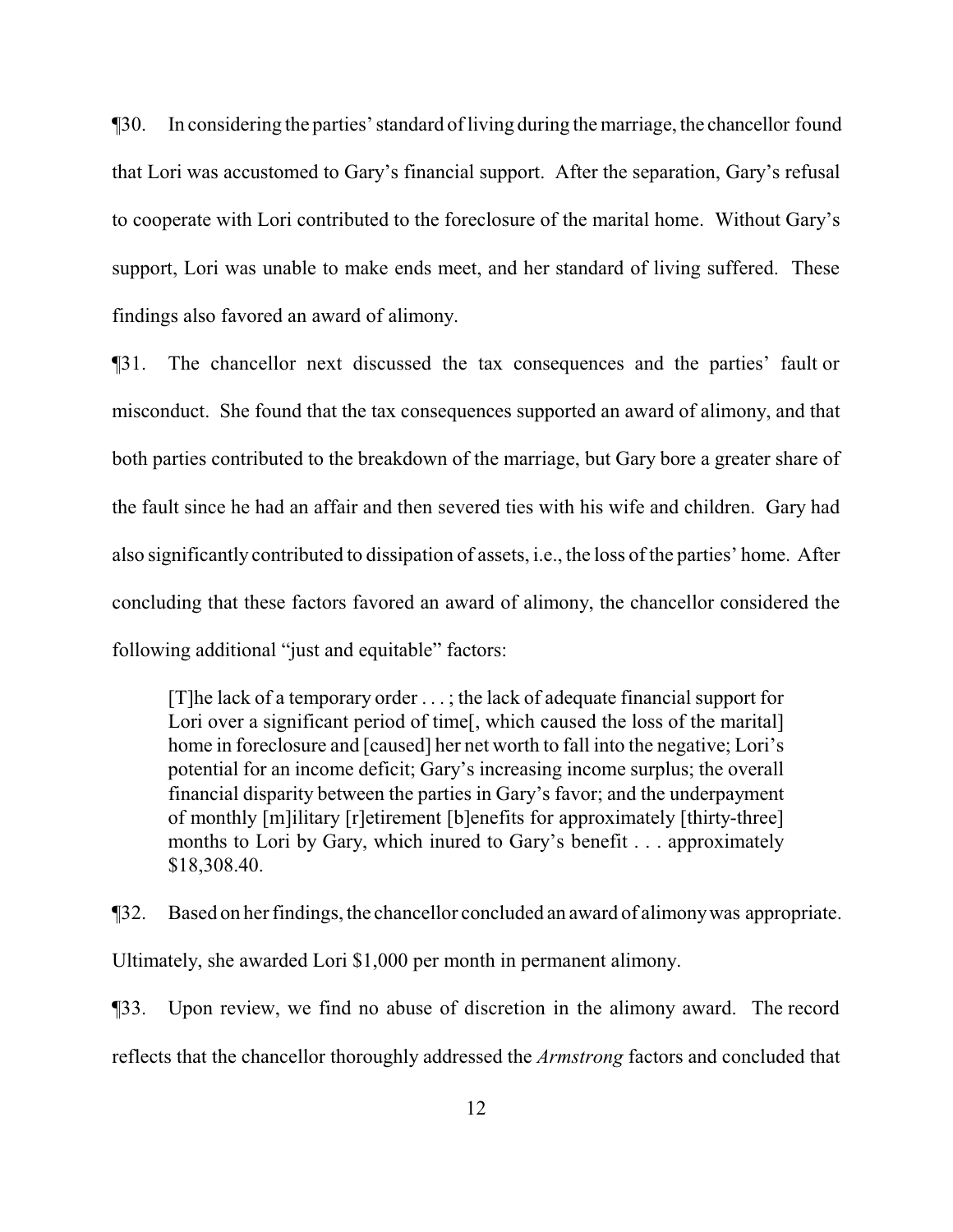¶30. In considering the parties' standard ofliving during the marriage, the chancellor found that Lori was accustomed to Gary's financial support. After the separation, Gary's refusal to cooperate with Lori contributed to the foreclosure of the marital home. Without Gary's support, Lori was unable to make ends meet, and her standard of living suffered. These findings also favored an award of alimony.

¶31. The chancellor next discussed the tax consequences and the parties' fault or misconduct. She found that the tax consequences supported an award of alimony, and that both parties contributed to the breakdown of the marriage, but Gary bore a greater share of the fault since he had an affair and then severed ties with his wife and children. Gary had also significantly contributed to dissipation of assets, i.e., the loss of the parties' home. After concluding that these factors favored an award of alimony, the chancellor considered the following additional "just and equitable" factors:

[T]he lack of a temporary order . . . ; the lack of adequate financial support for Lori over a significant period of time. which caused the loss of the marital. home in foreclosure and [caused] her net worth to fall into the negative; Lori's potential for an income deficit; Gary's increasing income surplus; the overall financial disparity between the parties in Gary's favor; and the underpayment of monthly [m]ilitary [r]etirement [b]enefits for approximately [thirty-three] months to Lori by Gary, which inured to Gary's benefit . . . approximately \$18,308.40.

¶32. Based on her findings, the chancellor concluded an award of alimonywas appropriate. Ultimately, she awarded Lori \$1,000 per month in permanent alimony.

¶33. Upon review, we find no abuse of discretion in the alimony award. The record reflects that the chancellor thoroughly addressed the *Armstrong* factors and concluded that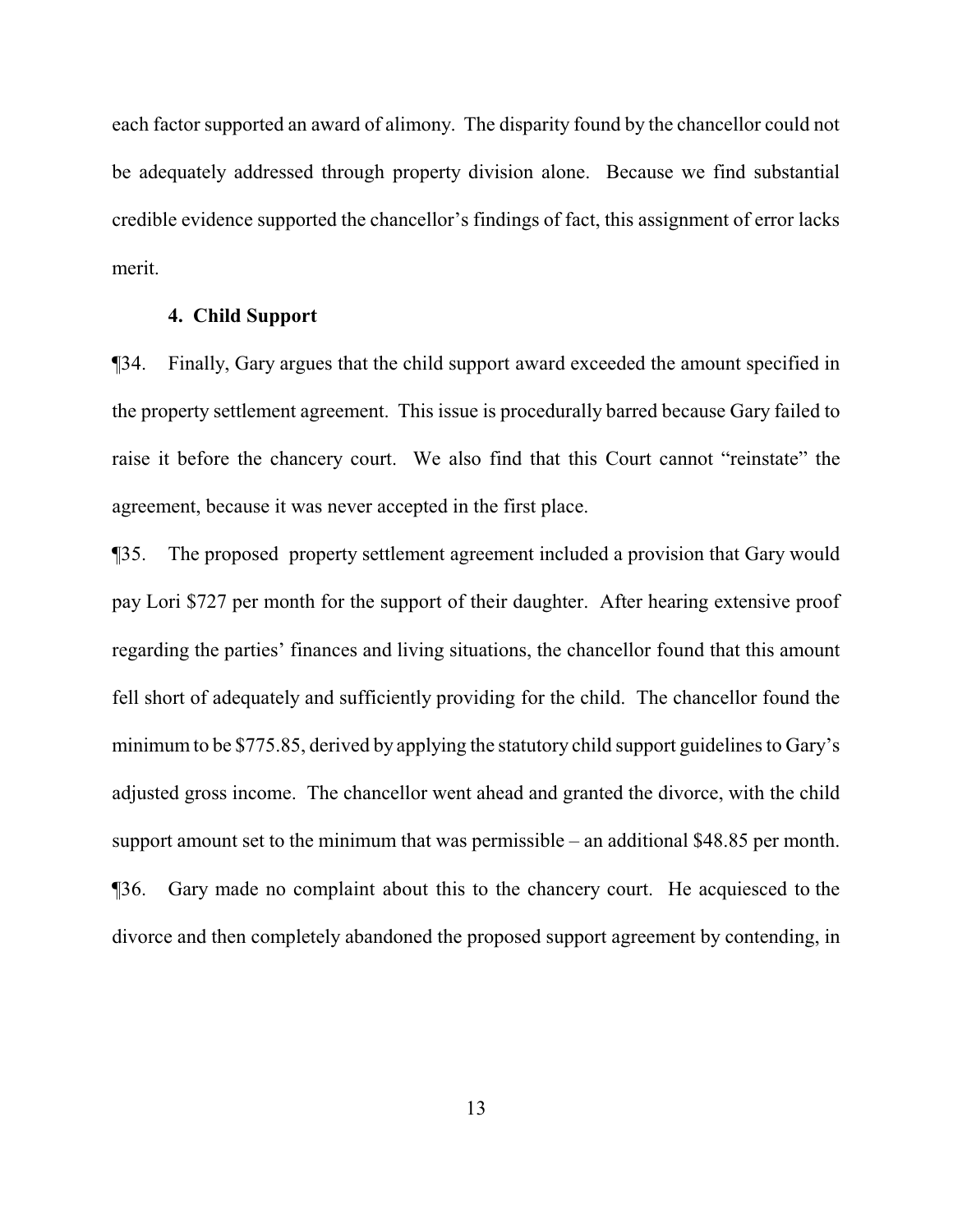each factor supported an award of alimony. The disparity found by the chancellor could not be adequately addressed through property division alone. Because we find substantial credible evidence supported the chancellor's findings of fact, this assignment of error lacks merit.

#### **4. Child Support**

¶34. Finally, Gary argues that the child support award exceeded the amount specified in the property settlement agreement. This issue is procedurally barred because Gary failed to raise it before the chancery court. We also find that this Court cannot "reinstate" the agreement, because it was never accepted in the first place.

¶35. The proposed property settlement agreement included a provision that Gary would pay Lori \$727 per month for the support of their daughter. After hearing extensive proof regarding the parties' finances and living situations, the chancellor found that this amount fell short of adequately and sufficiently providing for the child. The chancellor found the minimum to be \$775.85, derived by applying the statutory child support guidelines to Gary's adjusted gross income. The chancellor went ahead and granted the divorce, with the child support amount set to the minimum that was permissible – an additional \$48.85 per month. ¶36. Gary made no complaint about this to the chancery court. He acquiesced to the divorce and then completely abandoned the proposed support agreement by contending, in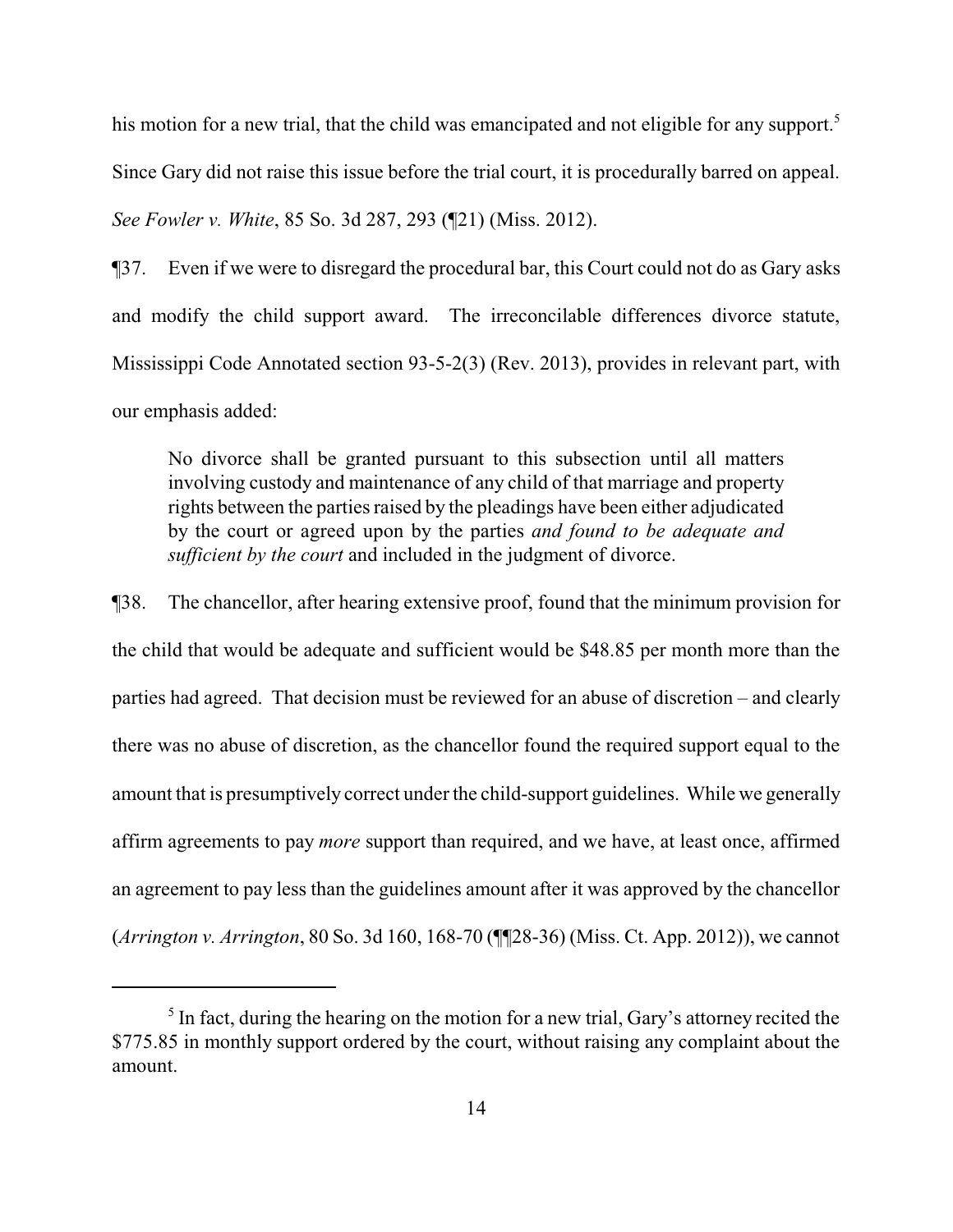his motion for a new trial, that the child was emancipated and not eligible for any support.<sup>5</sup> Since Gary did not raise this issue before the trial court, it is procedurally barred on appeal. *See Fowler v. White*, 85 So. 3d 287, 293 (¶21) (Miss. 2012).

¶37. Even if we were to disregard the procedural bar, this Court could not do as Gary asks and modify the child support award. The irreconcilable differences divorce statute, Mississippi Code Annotated section 93-5-2(3) (Rev. 2013), provides in relevant part, with our emphasis added:

No divorce shall be granted pursuant to this subsection until all matters involving custody and maintenance of any child of that marriage and property rights between the parties raised by the pleadings have been either adjudicated by the court or agreed upon by the parties *and found to be adequate and sufficient by the court* and included in the judgment of divorce.

¶38. The chancellor, after hearing extensive proof, found that the minimum provision for the child that would be adequate and sufficient would be \$48.85 per month more than the parties had agreed. That decision must be reviewed for an abuse of discretion – and clearly there was no abuse of discretion, as the chancellor found the required support equal to the amount that is presumptively correct under the child-support guidelines. While we generally affirm agreements to pay *more* support than required, and we have, at least once, affirmed an agreement to pay less than the guidelines amount after it was approved by the chancellor (*Arrington v. Arrington*, 80 So. 3d 160, 168-70 (¶¶28-36) (Miss. Ct. App. 2012)), we cannot

 $<sup>5</sup>$  In fact, during the hearing on the motion for a new trial, Gary's attorney recited the</sup> \$775.85 in monthly support ordered by the court, without raising any complaint about the amount.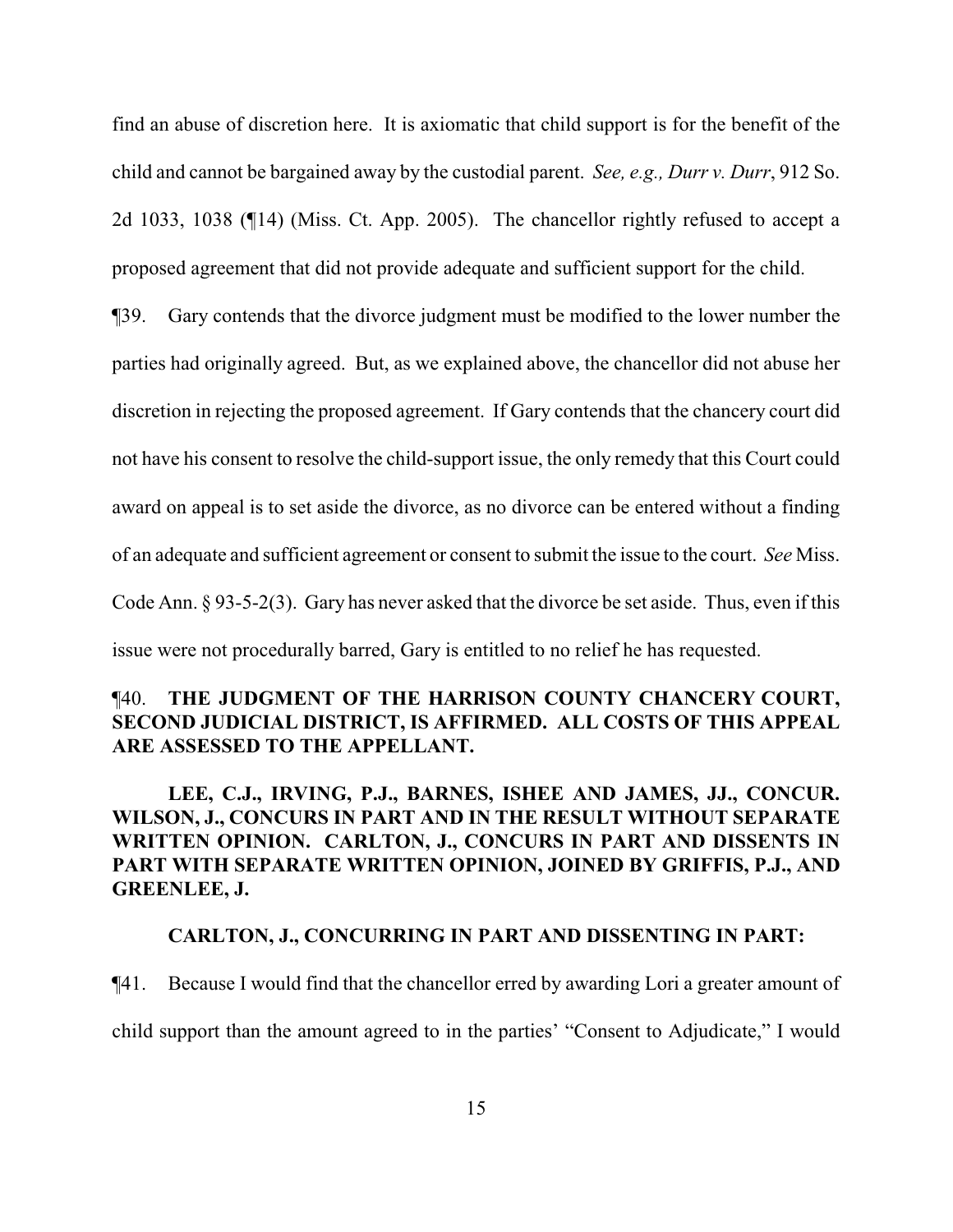find an abuse of discretion here. It is axiomatic that child support is for the benefit of the child and cannot be bargained away by the custodial parent. *See, e.g., Durr v. Durr*, 912 So. 2d 1033, 1038 (¶14) (Miss. Ct. App. 2005). The chancellor rightly refused to accept a proposed agreement that did not provide adequate and sufficient support for the child.

¶39. Gary contends that the divorce judgment must be modified to the lower number the parties had originally agreed. But, as we explained above, the chancellor did not abuse her discretion in rejecting the proposed agreement. If Gary contends that the chancery court did not have his consent to resolve the child-support issue, the only remedy that this Court could award on appeal is to set aside the divorce, as no divorce can be entered without a finding of an adequate and sufficient agreement or consent to submit the issue to the court. *See* Miss. Code Ann. § 93-5-2(3). Gary has never asked that the divorce be set aside. Thus, even if this issue were not procedurally barred, Gary is entitled to no relief he has requested.

# ¶40. **THE JUDGMENT OF THE HARRISON COUNTY CHANCERY COURT, SECOND JUDICIAL DISTRICT, IS AFFIRMED. ALL COSTS OF THIS APPEAL ARE ASSESSED TO THE APPELLANT.**

**LEE, C.J., IRVING, P.J., BARNES, ISHEE AND JAMES, JJ., CONCUR. WILSON, J., CONCURS IN PART AND IN THE RESULT WITHOUT SEPARATE WRITTEN OPINION. CARLTON, J., CONCURS IN PART AND DISSENTS IN PART WITH SEPARATE WRITTEN OPINION, JOINED BY GRIFFIS, P.J., AND GREENLEE, J.**

## **CARLTON, J., CONCURRING IN PART AND DISSENTING IN PART:**

¶41. Because I would find that the chancellor erred by awarding Lori a greater amount of child support than the amount agreed to in the parties' "Consent to Adjudicate," I would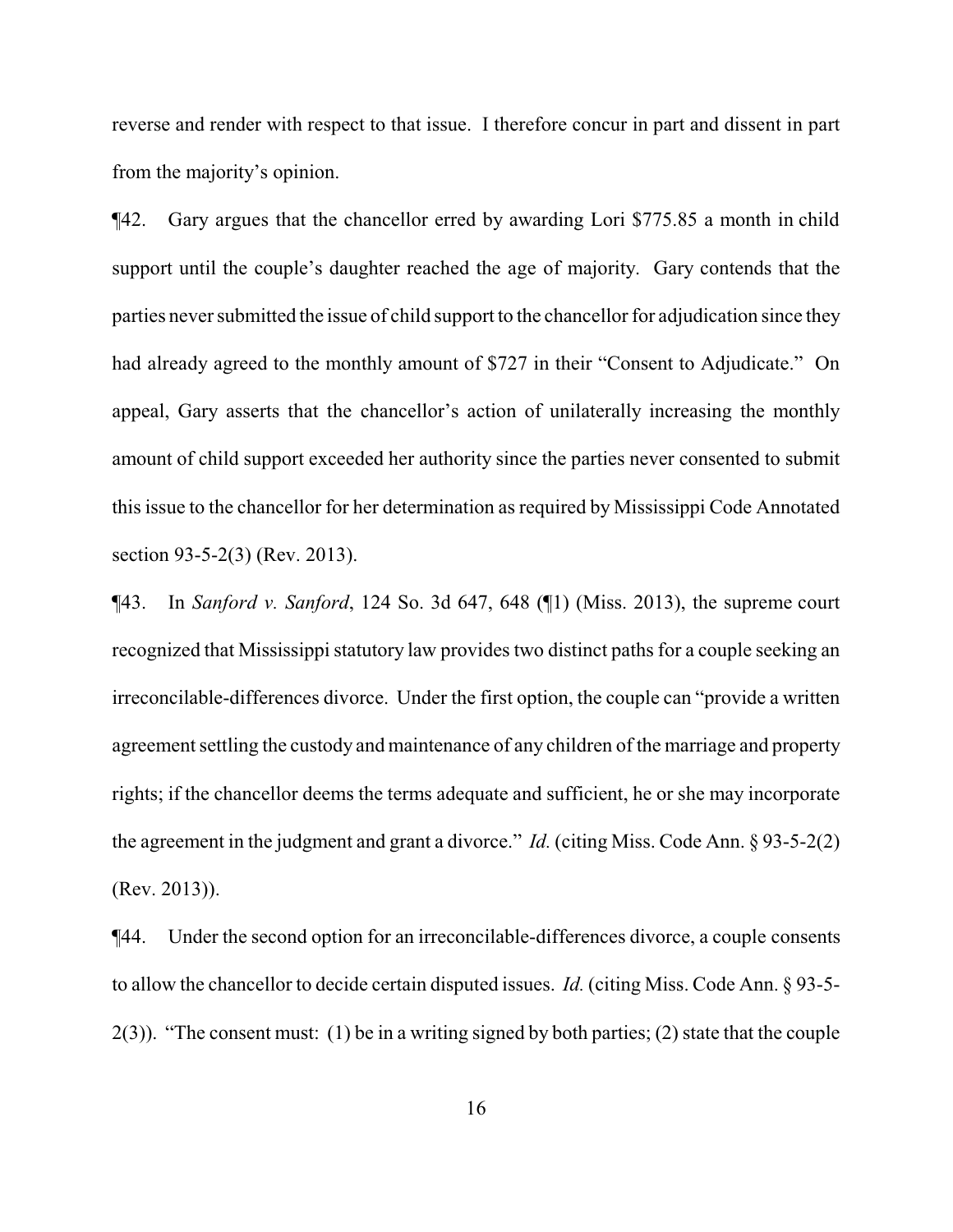reverse and render with respect to that issue. I therefore concur in part and dissent in part from the majority's opinion.

¶42. Gary argues that the chancellor erred by awarding Lori \$775.85 a month in child support until the couple's daughter reached the age of majority. Gary contends that the parties never submitted the issue of child support to the chancellor for adjudication since they had already agreed to the monthly amount of \$727 in their "Consent to Adjudicate." On appeal, Gary asserts that the chancellor's action of unilaterally increasing the monthly amount of child support exceeded her authority since the parties never consented to submit this issue to the chancellor for her determination as required by Mississippi Code Annotated section 93-5-2(3) (Rev. 2013).

¶43. In *Sanford v. Sanford*, 124 So. 3d 647, 648 (¶1) (Miss. 2013), the supreme court recognized that Mississippi statutory law provides two distinct paths for a couple seeking an irreconcilable-differences divorce. Under the first option, the couple can "provide a written agreement settling the custody and maintenance of any children of the marriage and property rights; if the chancellor deems the terms adequate and sufficient, he or she may incorporate the agreement in the judgment and grant a divorce." *Id.* (citing Miss. Code Ann. § 93-5-2(2) (Rev. 2013)).

¶44. Under the second option for an irreconcilable-differences divorce, a couple consents to allow the chancellor to decide certain disputed issues. *Id.* (citing Miss. Code Ann. § 93-5- 2(3)). "The consent must: (1) be in a writing signed by both parties; (2) state that the couple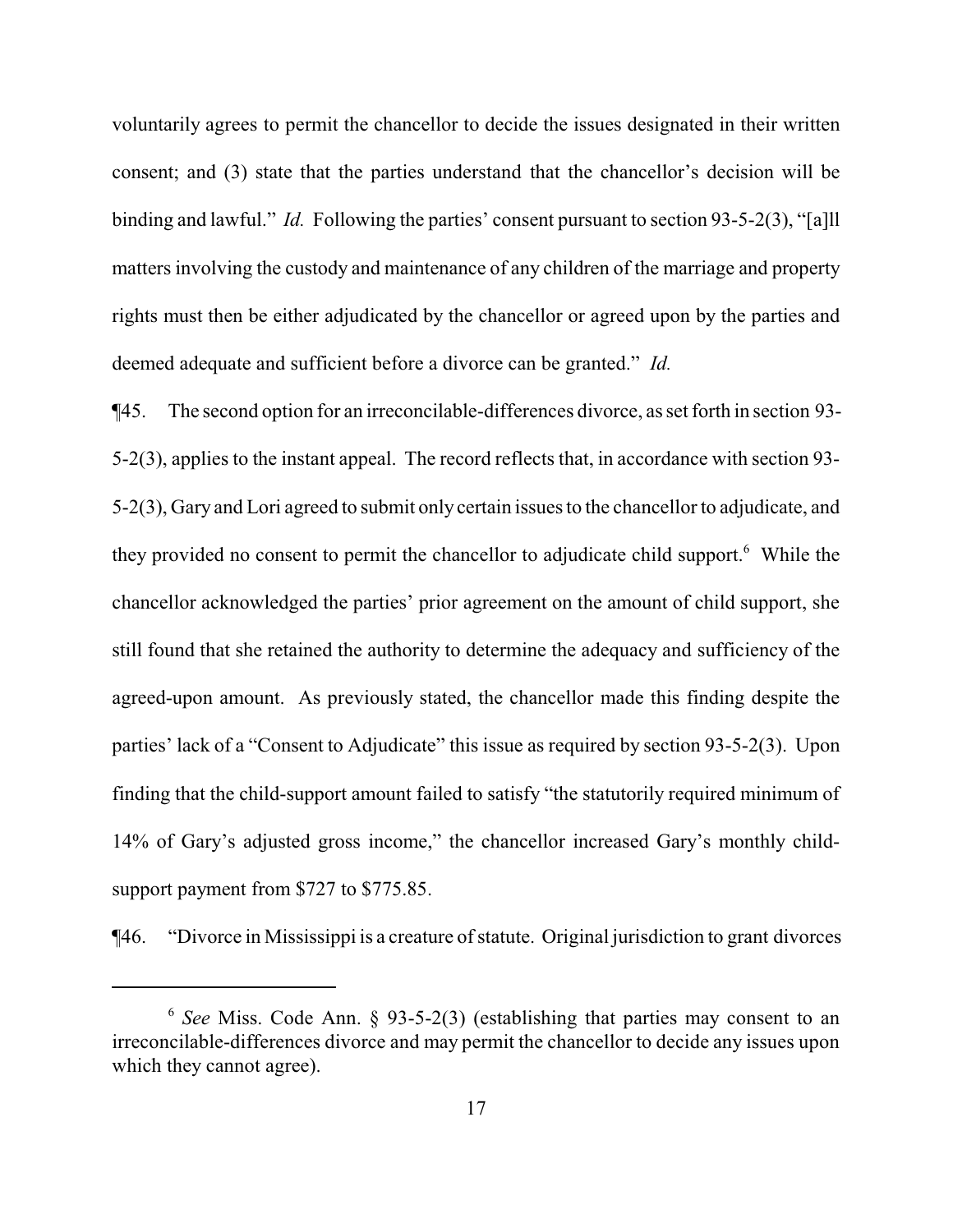voluntarily agrees to permit the chancellor to decide the issues designated in their written consent; and (3) state that the parties understand that the chancellor's decision will be binding and lawful." *Id.* Following the parties' consent pursuant to section 93-5-2(3), "[a]ll matters involving the custody and maintenance of any children of the marriage and property rights must then be either adjudicated by the chancellor or agreed upon by the parties and deemed adequate and sufficient before a divorce can be granted." *Id.*

¶45. The second option for an irreconcilable-differences divorce, as set forth in section 93- 5-2(3), applies to the instant appeal. The record reflects that, in accordance with section 93- 5-2(3), Gary and Lori agreed to submit onlycertain issues to the chancellor to adjudicate, and they provided no consent to permit the chancellor to adjudicate child support.<sup>6</sup> While the chancellor acknowledged the parties' prior agreement on the amount of child support, she still found that she retained the authority to determine the adequacy and sufficiency of the agreed-upon amount. As previously stated, the chancellor made this finding despite the parties' lack of a "Consent to Adjudicate" this issue as required by section 93-5-2(3). Upon finding that the child-support amount failed to satisfy "the statutorily required minimum of 14% of Gary's adjusted gross income," the chancellor increased Gary's monthly childsupport payment from \$727 to \$775.85.

¶46. "Divorce in Mississippi is a creature ofstatute. Original jurisdiction to grant divorces

<sup>6</sup> *See* Miss. Code Ann. § 93-5-2(3) (establishing that parties may consent to an irreconcilable-differences divorce and may permit the chancellor to decide any issues upon which they cannot agree).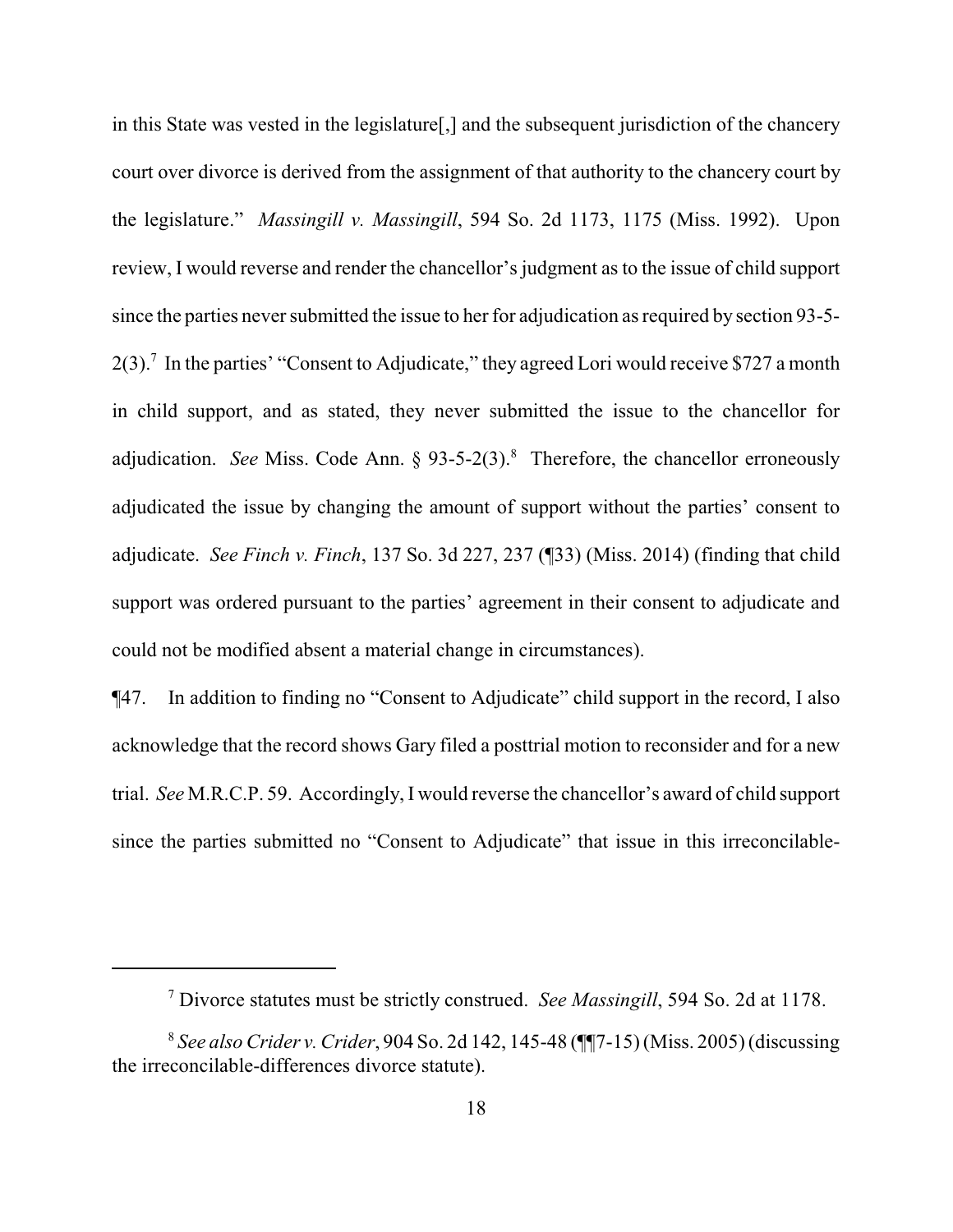in this State was vested in the legislature[,] and the subsequent jurisdiction of the chancery court over divorce is derived from the assignment of that authority to the chancery court by the legislature." *Massingill v. Massingill*, 594 So. 2d 1173, 1175 (Miss. 1992). Upon review, I would reverse and render the chancellor's judgment as to the issue of child support since the parties never submitted the issue to her for adjudication as required by section 93-5-  $2(3)$ .<sup>7</sup> In the parties' "Consent to Adjudicate," they agreed Lori would receive \$727 a month in child support, and as stated, they never submitted the issue to the chancellor for adjudication. *See* Miss. Code Ann. § 93-5-2(3).<sup>8</sup> Therefore, the chancellor erroneously adjudicated the issue by changing the amount of support without the parties' consent to adjudicate. *See Finch v. Finch*, 137 So. 3d 227, 237 (¶33) (Miss. 2014) (finding that child support was ordered pursuant to the parties' agreement in their consent to adjudicate and could not be modified absent a material change in circumstances).

¶47. In addition to finding no "Consent to Adjudicate" child support in the record, I also acknowledge that the record shows Gary filed a posttrial motion to reconsider and for a new trial. *See* M.R.C.P. 59. Accordingly, I would reverse the chancellor's award of child support since the parties submitted no "Consent to Adjudicate" that issue in this irreconcilable-

<sup>7</sup> Divorce statutes must be strictly construed. *See Massingill*, 594 So. 2d at 1178.

<sup>8</sup> *See alsoCrider v. Crider*, 904 So. 2d 142, 145-48 (¶¶7-15) (Miss. 2005) (discussing the irreconcilable-differences divorce statute).